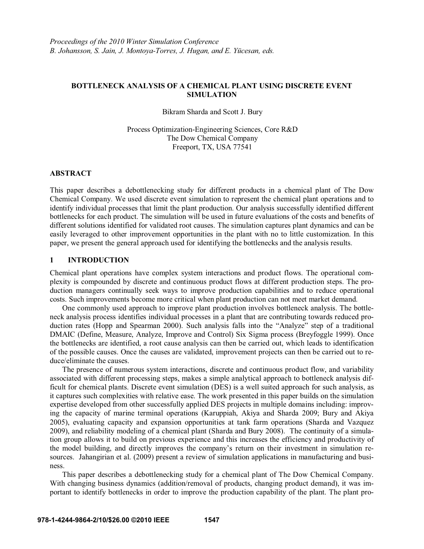## **BOTTLENECK ANALYSIS OF A CHEMICAL PLANT USING DISCRETE EVENT SIMULATION**

Bikram Sharda and Scott J. Bury

Process Optimization-Engineering Sciences, Core R&D The Dow Chemical Company Freeport, TX, USA 77541

## **ABSTRACT**

This paper describes a debottlenecking study for different products in a chemical plant of The Dow Chemical Company. We used discrete event simulation to represent the chemical plant operations and to identify individual processes that limit the plant production. Our analysis successfully identified different bottlenecks for each product. The simulation will be used in future evaluations of the costs and benefits of different solutions identified for validated root causes. The simulation captures plant dynamics and can be easily leveraged to other improvement opportunities in the plant with no to little customization. In this paper, we present the general approach used for identifying the bottlenecks and the analysis results.

## **1 INTRODUCTION**

Chemical plant operations have complex system interactions and product flows. The operational complexity is compounded by discrete and continuous product flows at different production steps. The production managers continually seek ways to improve production capabilities and to reduce operational costs. Such improvements become more critical when plant production can not meet market demand.

 One commonly used approach to improve plant production involves bottleneck analysis. The bottleneck analysis process identifies individual processes in a plant that are contributing towards reduced production rates (Hopp and Spearman 2000). Such analysis falls into the "Analyze" step of a traditional DMAIC (Define, Measure, Analyze, Improve and Control) Six Sigma process (Breyfoggle 1999). Once the bottlenecks are identified, a root cause analysis can then be carried out, which leads to identification of the possible causes. Once the causes are validated, improvement projects can then be carried out to reduce/eliminate the causes.

 The presence of numerous system interactions, discrete and continuous product flow, and variability associated with different processing steps, makes a simple analytical approach to bottleneck analysis difficult for chemical plants. Discrete event simulation (DES) is a well suited approach for such analysis, as it captures such complexities with relative ease. The work presented in this paper builds on the simulation expertise developed from other successfully applied DES projects in multiple domains including: improving the capacity of marine terminal operations (Karuppiah, Akiya and Sharda 2009; Bury and Akiya 2005), evaluating capacity and expansion opportunities at tank farm operations (Sharda and Vazquez 2009), and reliability modeling of a chemical plant (Sharda and Bury 2008). The continuity of a simulation group allows it to build on previous experience and this increases the efficiency and productivity of the model building, and directly improves the company's return on their investment in simulation resources. Jahangirian et al. (2009) present a review of simulation applications in manufacturing and business.

This paper describes a debottlenecking study for a chemical plant of The Dow Chemical Company. With changing business dynamics (addition/removal of products, changing product demand), it was important to identify bottlenecks in order to improve the production capability of the plant. The plant pro-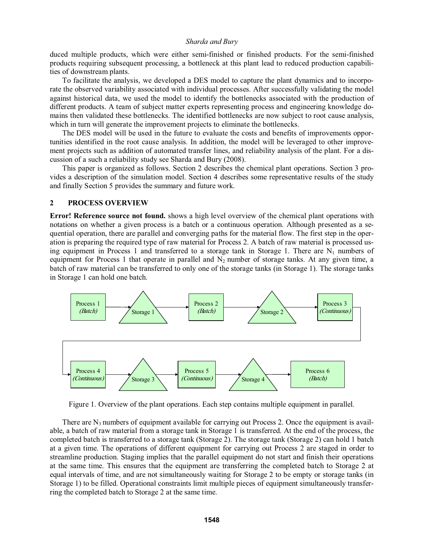duced multiple products, which were either semi-finished or finished products. For the semi-finished products requiring subsequent processing, a bottleneck at this plant lead to reduced production capabilities of downstream plants.

To facilitate the analysis, we developed a DES model to capture the plant dynamics and to incorporate the observed variability associated with individual processes. After successfully validating the model against historical data, we used the model to identify the bottlenecks associated with the production of different products. A team of subject matter experts representing process and engineering knowledge domains then validated these bottlenecks. The identified bottlenecks are now subject to root cause analysis, which in turn will generate the improvement projects to eliminate the bottlenecks.

The DES model will be used in the future to evaluate the costs and benefits of improvements opportunities identified in the root cause analysis. In addition, the model will be leveraged to other improvement projects such as addition of automated transfer lines, and reliability analysis of the plant. For a discussion of a such a reliability study see Sharda and Bury (2008).

 This paper is organized as follows. Section 2 describes the chemical plant operations. Section 3 provides a description of the simulation model. Section 4 describes some representative results of the study and finally Section 5 provides the summary and future work.

### **2 PROCESS OVERVIEW**

**Error! Reference source not found.** shows a high level overview of the chemical plant operations with notations on whether a given process is a batch or a continuous operation. Although presented as a sequential operation, there are parallel and converging paths for the material flow. The first step in the operation is preparing the required type of raw material for Process 2. A batch of raw material is processed using equipment in Process 1 and transferred to a storage tank in Storage 1. There are  $N_1$  numbers of equipment for Process 1 that operate in parallel and  $N_2$  number of storage tanks. At any given time, a batch of raw material can be transferred to only one of the storage tanks (in Storage 1). The storage tanks in Storage 1 can hold one batch.



Figure 1. Overview of the plant operations. Each step contains multiple equipment in parallel.

There are  $N_3$  numbers of equipment available for carrying out Process 2. Once the equipment is available, a batch of raw material from a storage tank in Storage 1 is transferred. At the end of the process, the completed batch is transferred to a storage tank (Storage 2). The storage tank (Storage 2) can hold 1 batch at a given time. The operations of different equipment for carrying out Process 2 are staged in order to streamline production. Staging implies that the parallel equipment do not start and finish their operations at the same time. This ensures that the equipment are transferring the completed batch to Storage 2 at equal intervals of time, and are not simultaneously waiting for Storage 2 to be empty or storage tanks (in Storage 1) to be filled. Operational constraints limit multiple pieces of equipment simultaneously transferring the completed batch to Storage 2 at the same time.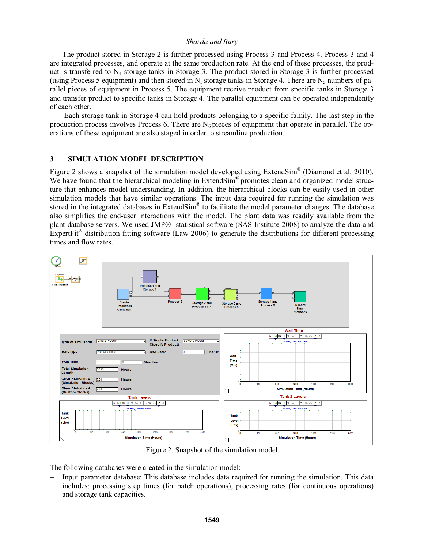The product stored in Storage 2 is further processed using Process 3 and Process 4. Process 3 and 4 are integrated processes, and operate at the same production rate. At the end of these processes, the product is transferred to  $N_4$  storage tanks in Storage 3. The product stored in Storage 3 is further processed (using Process 5 equipment) and then stored in  $N_5$  storage tanks in Storage 4. There are  $N_5$  numbers of parallel pieces of equipment in Process 5. The equipment receive product from specific tanks in Storage 3 and transfer product to specific tanks in Storage 4. The parallel equipment can be operated independently of each other.

 Each storage tank in Storage 4 can hold products belonging to a specific family. The last step in the production process involves Process 6. There are  $N_6$  pieces of equipment that operate in parallel. The operations of these equipment are also staged in order to streamline production.

## **3 SIMULATION MODEL DESCRIPTION**

Figure 2 shows a snapshot of the simulation model developed using ExtendSim® (Diamond et al. 2010). We have found that the hierarchical modeling in ExtendSim<sup>®</sup> promotes clean and organized model structure that enhances model understanding. In addition, the hierarchical blocks can be easily used in other simulation models that have similar operations. The input data required for running the simulation was stored in the integrated databases in ExtendSim<sup>®</sup> to facilitate the model parameter changes. The database also simplifies the end-user interactions with the model. The plant data was readily available from the plant database servers. We used JMP® statistical software (SAS Institute 2008) to analyze the data and ExpertFit<sup>®</sup> distribution fitting software (Law 2006) to generate the distributions for different processing times and flow rates.



Figure 2. Snapshot of the simulation model

The following databases were created in the simulation model:

− Input parameter database: This database includes data required for running the simulation. This data includes: processing step times (for batch operations), processing rates (for continuous operations) and storage tank capacities.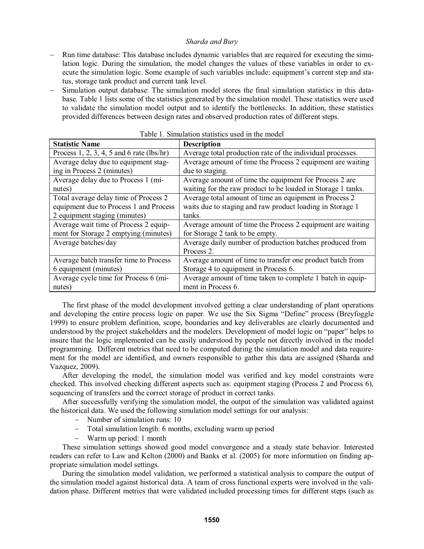- Run time database: This database includes dynamic variables that are required for executing the simulation logic. During the simulation, the model changes the values of these variables in order to execute the simulation logic. Some example of such variables include: equipment's current step and status, storage tank product and current tank level.
- − Simulation output database: The simulation model stores the final simulation statistics in this database. Table 1 lists some of the statistics generated by the simulation model. These statistics were used to validate the simulation model output and to identify the bottlenecks. In addition, these statistics provided differences between design rates and observed production rates of different steps.

| <b>Statistic Name</b>                       | <b>Description</b>                                           |
|---------------------------------------------|--------------------------------------------------------------|
| Process 1, 2, 3, 4, 5 and 6 rate $(lbs/hr)$ | Average total production rate of the individual processes.   |
| Average delay due to equipment stag-        | Average amount of time the Process 2 equipment are waiting   |
| ing in Process 2 (minutes)                  | due to staging.                                              |
| Average delay due to Process 1 (mi-         | Average amount of time the equipment for Process 2 are       |
| nutes)                                      | waiting for the raw product to be loaded in Storage 1 tanks. |
| Total average delay time of Process 2       | Average total amount of time an equipment in Process 2       |
| equipment due to Process 1 and Process      | waits due to staging and raw product loading in Storage 1    |
| 2 equipment staging (minutes)               | tanks.                                                       |
| Average wait time of Process 2 equip-       | Average amount of time the Process 2 equipment are waiting   |
| ment for Storage 2 emptying (minutes)       | for Storage 2 tank to be empty.                              |
| Average batches/day                         | Average daily number of production batches produced from     |
|                                             | Process 2.                                                   |
| Average batch transfer time to Process      | Average amount of time to transfer one product batch from    |
| 6 equipment (minutes)                       | Storage 4 to equipment in Process 6.                         |
| Average cycle time for Process 6 (mi-       | Average amount of time taken to complete 1 batch in equip-   |
| nutes)                                      | ment in Process 6.                                           |

|  | Table 1. Simulation statistics used in the model |  |  |  |  |
|--|--------------------------------------------------|--|--|--|--|
|--|--------------------------------------------------|--|--|--|--|

 The first phase of the model development involved getting a clear understanding of plant operations and developing the entire process logic on paper. We use the Six Sigma "Define" process (Breyfoggle 1999) to ensure problem definition, scope, boundaries and key deliverables are clearly documented and understood by the project stakeholders and the modelers. Development of model logic on "paper" helps to insure that the logic implemented can be easily understood by people not directly involved in the model programming. Different metrics that need to be computed during the simulation model and data requirement for the model are identified, and owners responsible to gather this data are assigned (Sharda and Vazquez, 2009).

After developing the model, the simulation model was verified and key model constraints were checked. This involved checking different aspects such as: equipment staging (Process 2 and Process 6), sequencing of transfers and the correct storage of product in correct tanks.

 After successfully verifying the simulation model, the output of the simulation was validated against the historical data. We used the following simulation model settings for our analysis:

- − Number of simulation runs: 10
- − Total simulation length: 6 months, excluding warm up period
- − Warm up period: 1 month

 These simulation settings showed good model convergence and a steady state behavior. Interested readers can refer to Law and Kelton (2000) and Banks et al. (2005) for more information on finding appropriate simulation model settings.

 During the simulation model validation, we performed a statistical analysis to compare the output of the simulation model against historical data. A team of cross functional experts were involved in the validation phase. Different metrics that were validated included processing times for different steps (such as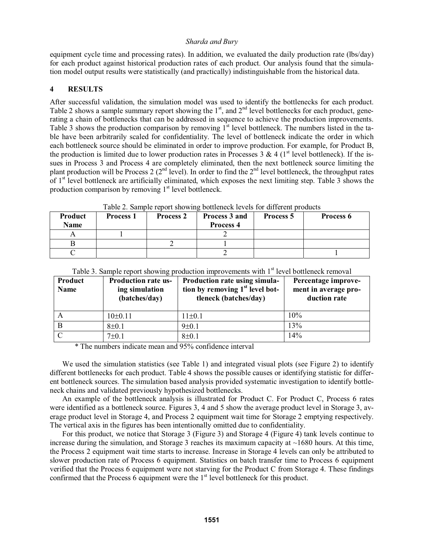equipment cycle time and processing rates). In addition, we evaluated the daily production rate (lbs/day) for each product against historical production rates of each product. Our analysis found that the simulation model output results were statistically (and practically) indistinguishable from the historical data.

## **4 RESULTS**

After successful validation, the simulation model was used to identify the bottlenecks for each product. Table 2 shows a sample summary report showing the  $1<sup>st</sup>$ , and  $2<sup>nd</sup>$  level bottlenecks for each product, generating a chain of bottlenecks that can be addressed in sequence to achieve the production improvements. Table 3 shows the production comparison by removing  $1<sup>st</sup>$  level bottleneck. The numbers listed in the table have been arbitrarily scaled for confidentiality. The level of bottleneck indicate the order in which each bottleneck source should be eliminated in order to improve production. For example, for Product B, the production is limited due to lower production rates in Processes 3 & 4 ( $1<sup>st</sup>$  level bottleneck). If the issues in Process 3 and Process 4 are completely eliminated, then the next bottleneck source limiting the plant production will be Process 2 ( $2<sup>nd</sup>$  level). In order to find the  $2<sup>nd</sup>$  level bottleneck, the throughput rates of  $1<sup>st</sup>$  level bottleneck are artificially eliminated, which exposes the next limiting step. Table 3 shows the production comparison by removing  $1<sup>st</sup>$  level bottleneck.

| Product<br><b>Name</b> | <b>Process 1</b> | <b>Process 2</b> | Process 3 and<br>Process 4 | Process 5 | Process 6 |
|------------------------|------------------|------------------|----------------------------|-----------|-----------|
|                        |                  |                  |                            |           |           |
|                        |                  |                  |                            |           |           |
|                        |                  |                  |                            |           |           |

Table 2. Sample report showing bottleneck levels for different products

| Product<br>Name | <b>Production rate us-</b><br>ing simulation<br>(batches/day) | Production rate using simula-<br>tion by removing $1st$ level bot-<br>tleneck (batches/day) | Percentage improve-<br>ment in average pro-<br>duction rate |
|-----------------|---------------------------------------------------------------|---------------------------------------------------------------------------------------------|-------------------------------------------------------------|
|                 | 10±0.11                                                       | 11±0.1                                                                                      | $10\%$                                                      |
|                 | $8 \pm 0.1$                                                   | 9±0.1                                                                                       | 13%                                                         |
| C               | $7\pm0.1$                                                     | $8 + 0.1$                                                                                   | 14%                                                         |

Table 3. Sample report showing production improvements with 1<sup>st</sup> level bottleneck removal

\* The numbers indicate mean and 95% confidence interval

We used the simulation statistics (see Table 1) and integrated visual plots (see Figure 2) to identify different bottlenecks for each product. Table 4 shows the possible causes or identifying statistic for different bottleneck sources. The simulation based analysis provided systematic investigation to identify bottleneck chains and validated previously hypothesized bottlenecks.

An example of the bottleneck analysis is illustrated for Product C. For Product C, Process 6 rates were identified as a bottleneck source. Figures 3, 4 and 5 show the average product level in Storage 3, average product level in Storage 4, and Process 2 equipment wait time for Storage 2 emptying respectively. The vertical axis in the figures has been intentionally omitted due to confidentiality.

For this product, we notice that Storage 3 (Figure 3) and Storage 4 (Figure 4) tank levels continue to increase during the simulation, and Storage 3 reaches its maximum capacity at  $\sim$ 1680 hours. At this time, the Process 2 equipment wait time starts to increase. Increase in Storage 4 levels can only be attributed to slower production rate of Process 6 equipment. Statistics on batch transfer time to Process 6 equipment verified that the Process 6 equipment were not starving for the Product C from Storage 4. These findings confirmed that the Process  $6$  equipment were the  $1<sup>st</sup>$  level bottleneck for this product.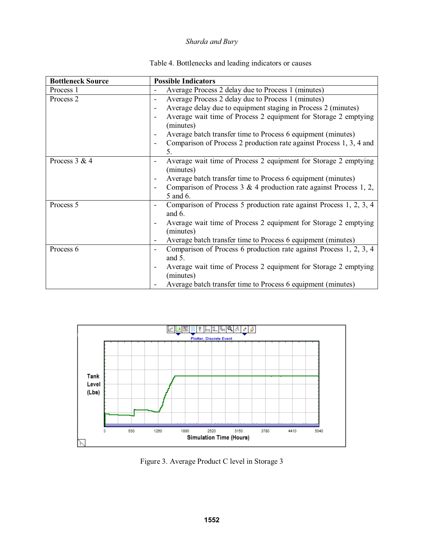| Table 4. Bottlenecks and leading indicators or causes |  |  |
|-------------------------------------------------------|--|--|
|-------------------------------------------------------|--|--|

| <b>Bottleneck Source</b> | <b>Possible Indicators</b>                                                     |
|--------------------------|--------------------------------------------------------------------------------|
| Process 1                | Average Process 2 delay due to Process 1 (minutes)                             |
| Process <sub>2</sub>     | Average Process 2 delay due to Process 1 (minutes)<br>$\overline{\phantom{a}}$ |
|                          | Average delay due to equipment staging in Process 2 (minutes)                  |
|                          | Average wait time of Process 2 equipment for Storage 2 emptying                |
|                          | (minutes)                                                                      |
|                          | Average batch transfer time to Process 6 equipment (minutes)                   |
|                          | Comparison of Process 2 production rate against Process 1, 3, 4 and            |
|                          | 5.                                                                             |
| Process 3 & 4            | Average wait time of Process 2 equipment for Storage 2 emptying                |
|                          | (minutes)                                                                      |
|                          | Average batch transfer time to Process 6 equipment (minutes)                   |
|                          | Comparison of Process $3 \& 4$ production rate against Process 1, 2,           |
|                          | 5 and 6.                                                                       |
| Process 5                | Comparison of Process 5 production rate against Process 1, 2, 3, 4             |
|                          | and $6$ .                                                                      |
|                          | Average wait time of Process 2 equipment for Storage 2 emptying                |
|                          | (minutes)                                                                      |
|                          | Average batch transfer time to Process 6 equipment (minutes)                   |
| Process 6                | Comparison of Process 6 production rate against Process 1, 2, 3, 4             |
|                          | and 5.                                                                         |
|                          | Average wait time of Process 2 equipment for Storage 2 emptying                |
|                          | (minutes)                                                                      |
|                          | Average batch transfer time to Process 6 equipment (minutes)                   |



Figure 3. Average Product C level in Storage 3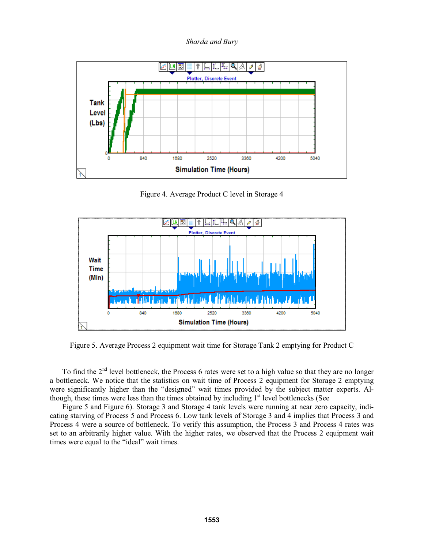*Sharda and Bury*



Figure 4. Average Product C level in Storage 4



Figure 5. Average Process 2 equipment wait time for Storage Tank 2 emptying for Product C

To find the 2<sup>nd</sup> level bottleneck, the Process 6 rates were set to a high value so that they are no longer a bottleneck. We notice that the statistics on wait time of Process 2 equipment for Storage 2 emptying were significantly higher than the "designed" wait times provided by the subject matter experts. Although, these times were less than the times obtained by including  $1<sup>st</sup>$  level bottlenecks (See

Figure 5 and Figure 6). Storage 3 and Storage 4 tank levels were running at near zero capacity, indicating starving of Process 5 and Process 6. Low tank levels of Storage 3 and 4 implies that Process 3 and Process 4 were a source of bottleneck. To verify this assumption, the Process 3 and Process 4 rates was set to an arbitrarily higher value. With the higher rates, we observed that the Process 2 equipment wait times were equal to the "ideal" wait times.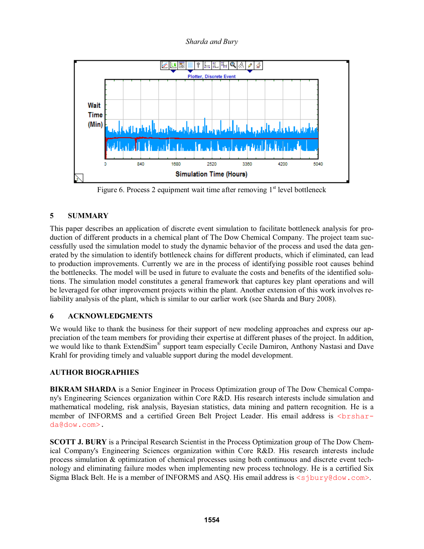

Figure 6. Process 2 equipment wait time after removing  $1<sup>st</sup>$  level bottleneck

# **5 SUMMARY**

This paper describes an application of discrete event simulation to facilitate bottleneck analysis for production of different products in a chemical plant of The Dow Chemical Company. The project team successfully used the simulation model to study the dynamic behavior of the process and used the data generated by the simulation to identify bottleneck chains for different products, which if eliminated, can lead to production improvements. Currently we are in the process of identifying possible root causes behind the bottlenecks. The model will be used in future to evaluate the costs and benefits of the identified solutions. The simulation model constitutes a general framework that captures key plant operations and will be leveraged for other improvement projects within the plant. Another extension of this work involves reliability analysis of the plant, which is similar to our earlier work (see Sharda and Bury 2008).

## **6 ACKNOWLEDGMENTS**

We would like to thank the business for their support of new modeling approaches and express our appreciation of the team members for providing their expertise at different phases of the project. In addition, we would like to thank ExtendSim<sup>®</sup> support team especially Cecile Damiron, Anthony Nastasi and Dave Krahl for providing timely and valuable support during the model development.

## **AUTHOR BIOGRAPHIES**

**BIKRAM SHARDA** is a Senior Engineer in Process Optimization group of The Dow Chemical Company's Engineering Sciences organization within Core R&D. His research interests include simulation and mathematical modeling, risk analysis, Bayesian statistics, data mining and pattern recognition. He is a member of INFORMS and a certified Green Belt Project Leader. His email address is <br/>brsharda@dow.com>.

**SCOTT J. BURY** is a Principal Research Scientist in the Process Optimization group of The Dow Chemical Company's Engineering Sciences organization within Core R&D. His research interests include process simulation & optimization of chemical processes using both continuous and discrete event technology and eliminating failure modes when implementing new process technology. He is a certified Six Sigma Black Belt. He is a member of INFORMS and ASQ. His email address is  $\langle$ sjbury@dow.com>.